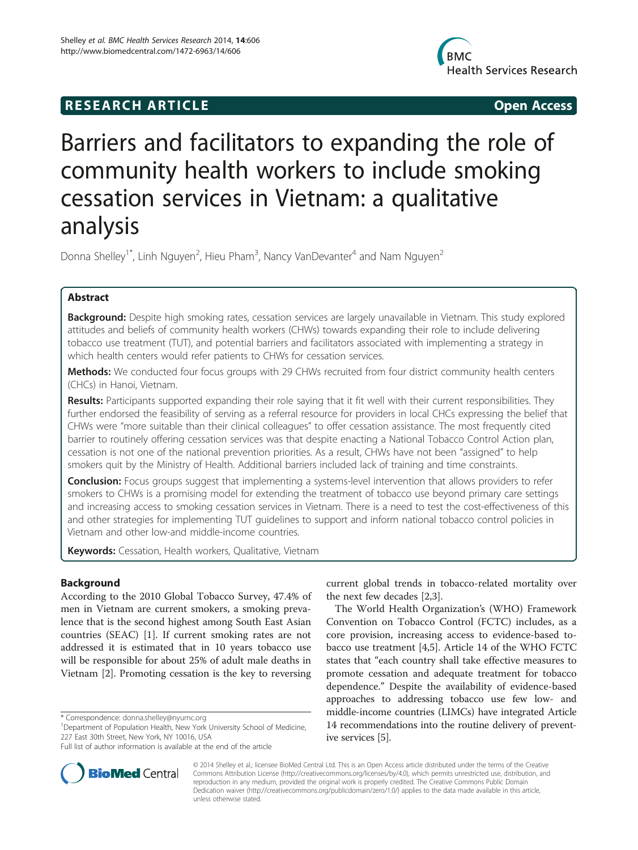## **RESEARCH ARTICLE Example 2018 12:00 Open Access**



# Barriers and facilitators to expanding the role of community health workers to include smoking cessation services in Vietnam: a qualitative analysis

Donna Shelley<sup>1\*</sup>, Linh Nguyen<sup>2</sup>, Hieu Pham<sup>3</sup>, Nancy VanDevanter<sup>4</sup> and Nam Nguyen<sup>2</sup>

## Abstract

Background: Despite high smoking rates, cessation services are largely unavailable in Vietnam. This study explored attitudes and beliefs of community health workers (CHWs) towards expanding their role to include delivering tobacco use treatment (TUT), and potential barriers and facilitators associated with implementing a strategy in which health centers would refer patients to CHWs for cessation services.

Methods: We conducted four focus groups with 29 CHWs recruited from four district community health centers (CHCs) in Hanoi, Vietnam.

Results: Participants supported expanding their role saying that it fit well with their current responsibilities. They further endorsed the feasibility of serving as a referral resource for providers in local CHCs expressing the belief that CHWs were "more suitable than their clinical colleagues" to offer cessation assistance. The most frequently cited barrier to routinely offering cessation services was that despite enacting a National Tobacco Control Action plan, cessation is not one of the national prevention priorities. As a result, CHWs have not been "assigned" to help smokers quit by the Ministry of Health. Additional barriers included lack of training and time constraints.

**Conclusion:** Focus groups suggest that implementing a systems-level intervention that allows providers to refer smokers to CHWs is a promising model for extending the treatment of tobacco use beyond primary care settings and increasing access to smoking cessation services in Vietnam. There is a need to test the cost-effectiveness of this and other strategies for implementing TUT guidelines to support and inform national tobacco control policies in Vietnam and other low-and middle-income countries.

Keywords: Cessation, Health workers, Qualitative, Vietnam

## Background

According to the 2010 Global Tobacco Survey, 47.4% of men in Vietnam are current smokers, a smoking prevalence that is the second highest among South East Asian countries (SEAC) [\[1](#page-6-0)]. If current smoking rates are not addressed it is estimated that in 10 years tobacco use will be responsible for about 25% of adult male deaths in Vietnam [\[2\]](#page-6-0). Promoting cessation is the key to reversing



The World Health Organization's (WHO) Framework Convention on Tobacco Control (FCTC) includes, as a core provision, increasing access to evidence-based tobacco use treatment [\[4,5](#page-6-0)]. Article 14 of the WHO FCTC states that "each country shall take effective measures to promote cessation and adequate treatment for tobacco dependence." Despite the availability of evidence-based approaches to addressing tobacco use few low- and middle-income countries (LIMCs) have integrated Article 14 recommendations into the routine delivery of preventive services [\[5](#page-6-0)].



© 2014 Shelley et al.; licensee BioMed Central Ltd. This is an Open Access article distributed under the terms of the Creative Commons Attribution License [\(http://creativecommons.org/licenses/by/4.0\)](http://creativecommons.org/licenses/by/4.0), which permits unrestricted use, distribution, and reproduction in any medium, provided the original work is properly credited. The Creative Commons Public Domain Dedication waiver [\(http://creativecommons.org/publicdomain/zero/1.0/](http://creativecommons.org/publicdomain/zero/1.0/)) applies to the data made available in this article, unless otherwise stated.

<sup>\*</sup> Correspondence: [donna.shelley@nyumc.org](mailto:donna.shelley@nyumc.org) <sup>1</sup>

<sup>&</sup>lt;sup>1</sup>Department of Population Health, New York University School of Medicine, 227 East 30th Street, New York, NY 10016, USA

Full list of author information is available at the end of the article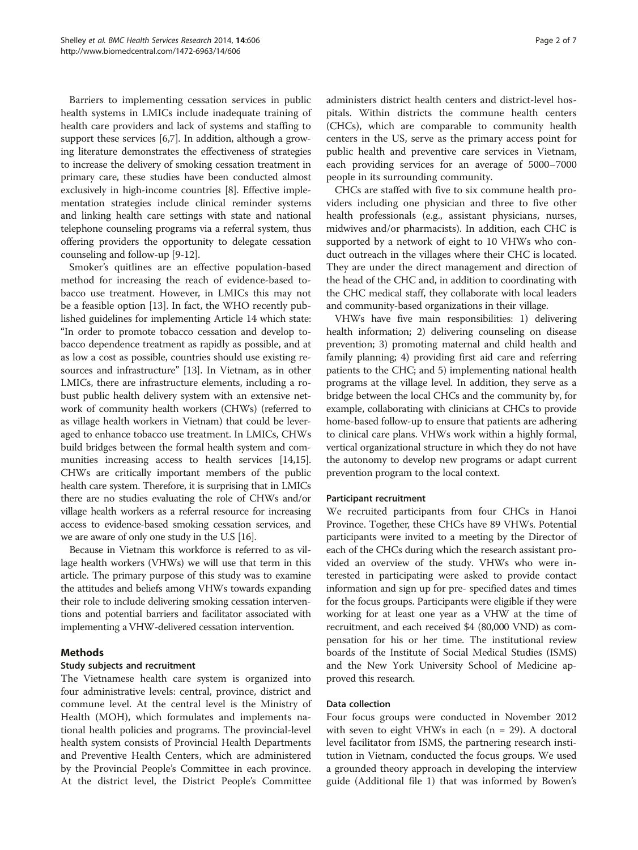Barriers to implementing cessation services in public health systems in LMICs include inadequate training of health care providers and lack of systems and staffing to support these services [[6](#page-6-0),[7](#page-6-0)]. In addition, although a growing literature demonstrates the effectiveness of strategies to increase the delivery of smoking cessation treatment in primary care, these studies have been conducted almost exclusively in high-income countries [\[8\]](#page-6-0). Effective implementation strategies include clinical reminder systems and linking health care settings with state and national telephone counseling programs via a referral system, thus offering providers the opportunity to delegate cessation counseling and follow-up [[9-12\]](#page-6-0).

Smoker's quitlines are an effective population-based method for increasing the reach of evidence-based tobacco use treatment. However, in LMICs this may not be a feasible option [\[13](#page-6-0)]. In fact, the WHO recently published guidelines for implementing Article 14 which state: "In order to promote tobacco cessation and develop tobacco dependence treatment as rapidly as possible, and at as low a cost as possible, countries should use existing resources and infrastructure" [\[13\]](#page-6-0). In Vietnam, as in other LMICs, there are infrastructure elements, including a robust public health delivery system with an extensive network of community health workers (CHWs) (referred to as village health workers in Vietnam) that could be leveraged to enhance tobacco use treatment. In LMICs, CHWs build bridges between the formal health system and communities increasing access to health services [\[14,15](#page-6-0)]. CHWs are critically important members of the public health care system. Therefore, it is surprising that in LMICs there are no studies evaluating the role of CHWs and/or village health workers as a referral resource for increasing access to evidence-based smoking cessation services, and we are aware of only one study in the U.S [\[16](#page-6-0)].

Because in Vietnam this workforce is referred to as village health workers (VHWs) we will use that term in this article. The primary purpose of this study was to examine the attitudes and beliefs among VHWs towards expanding their role to include delivering smoking cessation interventions and potential barriers and facilitator associated with implementing a VHW-delivered cessation intervention.

#### Methods

#### Study subjects and recruitment

The Vietnamese health care system is organized into four administrative levels: central, province, district and commune level. At the central level is the Ministry of Health (MOH), which formulates and implements national health policies and programs. The provincial-level health system consists of Provincial Health Departments and Preventive Health Centers, which are administered by the Provincial People's Committee in each province. At the district level, the District People's Committee

administers district health centers and district-level hospitals. Within districts the commune health centers (CHCs), which are comparable to community health centers in the US, serve as the primary access point for public health and preventive care services in Vietnam, each providing services for an average of 5000–7000 people in its surrounding community.

CHCs are staffed with five to six commune health providers including one physician and three to five other health professionals (e.g., assistant physicians, nurses, midwives and/or pharmacists). In addition, each CHC is supported by a network of eight to 10 VHWs who conduct outreach in the villages where their CHC is located. They are under the direct management and direction of the head of the CHC and, in addition to coordinating with the CHC medical staff, they collaborate with local leaders and community-based organizations in their village.

VHWs have five main responsibilities: 1) delivering health information; 2) delivering counseling on disease prevention; 3) promoting maternal and child health and family planning; 4) providing first aid care and referring patients to the CHC; and 5) implementing national health programs at the village level. In addition, they serve as a bridge between the local CHCs and the community by, for example, collaborating with clinicians at CHCs to provide home-based follow-up to ensure that patients are adhering to clinical care plans. VHWs work within a highly formal, vertical organizational structure in which they do not have the autonomy to develop new programs or adapt current prevention program to the local context.

#### Participant recruitment

We recruited participants from four CHCs in Hanoi Province. Together, these CHCs have 89 VHWs. Potential participants were invited to a meeting by the Director of each of the CHCs during which the research assistant provided an overview of the study. VHWs who were interested in participating were asked to provide contact information and sign up for pre- specified dates and times for the focus groups. Participants were eligible if they were working for at least one year as a VHW at the time of recruitment, and each received \$4 (80,000 VND) as compensation for his or her time. The institutional review boards of the Institute of Social Medical Studies (ISMS) and the New York University School of Medicine approved this research.

#### Data collection

Four focus groups were conducted in November 2012 with seven to eight VHWs in each  $(n = 29)$ . A doctoral level facilitator from ISMS, the partnering research institution in Vietnam, conducted the focus groups. We used a grounded theory approach in developing the interview guide (Additional file [1](#page-5-0)) that was informed by Bowen's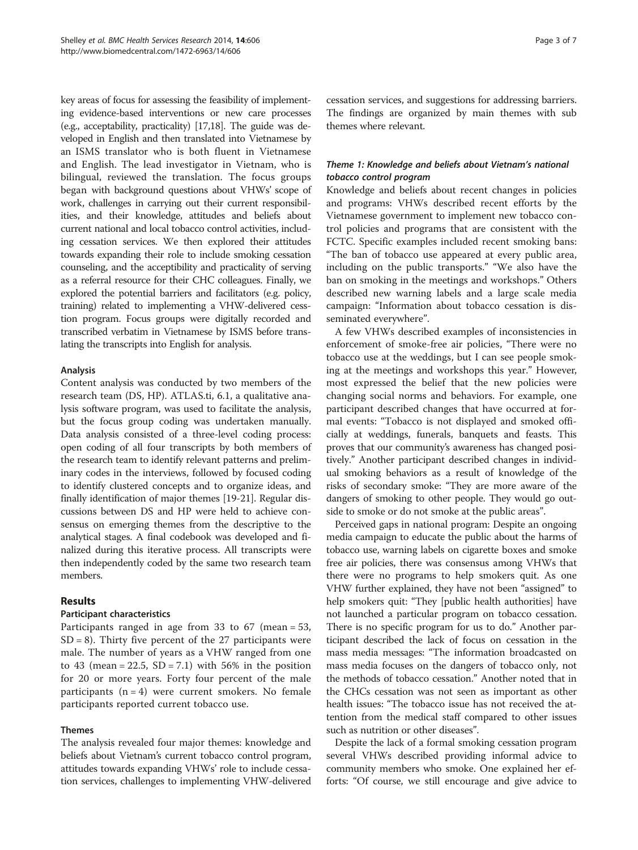key areas of focus for assessing the feasibility of implementing evidence-based interventions or new care processes (e.g., acceptability, practicality) [\[17,18\]](#page-6-0). The guide was developed in English and then translated into Vietnamese by an ISMS translator who is both fluent in Vietnamese and English. The lead investigator in Vietnam, who is bilingual, reviewed the translation. The focus groups began with background questions about VHWs' scope of work, challenges in carrying out their current responsibilities, and their knowledge, attitudes and beliefs about current national and local tobacco control activities, including cessation services. We then explored their attitudes towards expanding their role to include smoking cessation counseling, and the acceptibility and practicality of serving as a referral resource for their CHC colleagues. Finally, we explored the potential barriers and facilitators (e.g. policy, training) related to implementing a VHW-delivered cesstion program. Focus groups were digitally recorded and transcribed verbatim in Vietnamese by ISMS before translating the transcripts into English for analysis.

#### Analysis

Content analysis was conducted by two members of the research team (DS, HP). ATLAS.ti, 6.1, a qualitative analysis software program, was used to facilitate the analysis, but the focus group coding was undertaken manually. Data analysis consisted of a three-level coding process: open coding of all four transcripts by both members of the research team to identify relevant patterns and preliminary codes in the interviews, followed by focused coding to identify clustered concepts and to organize ideas, and finally identification of major themes [\[19-21](#page-6-0)]. Regular discussions between DS and HP were held to achieve consensus on emerging themes from the descriptive to the analytical stages. A final codebook was developed and finalized during this iterative process. All transcripts were then independently coded by the same two research team members.

## Results

#### Participant characteristics

Participants ranged in age from 33 to 67 (mean = 53,  $SD = 8$ ). Thirty five percent of the 27 participants were male. The number of years as a VHW ranged from one to 43 (mean = 22.5,  $SD = 7.1$ ) with 56% in the position for 20 or more years. Forty four percent of the male participants  $(n = 4)$  were current smokers. No female participants reported current tobacco use.

#### Themes

The analysis revealed four major themes: knowledge and beliefs about Vietnam's current tobacco control program, attitudes towards expanding VHWs' role to include cessation services, challenges to implementing VHW-delivered cessation services, and suggestions for addressing barriers. The findings are organized by main themes with sub themes where relevant.

## Theme 1: Knowledge and beliefs about Vietnam's national tobacco control program

Knowledge and beliefs about recent changes in policies and programs: VHWs described recent efforts by the Vietnamese government to implement new tobacco control policies and programs that are consistent with the FCTC. Specific examples included recent smoking bans: "The ban of tobacco use appeared at every public area, including on the public transports." "We also have the ban on smoking in the meetings and workshops." Others described new warning labels and a large scale media campaign: "Information about tobacco cessation is disseminated everywhere".

A few VHWs described examples of inconsistencies in enforcement of smoke-free air policies, "There were no tobacco use at the weddings, but I can see people smoking at the meetings and workshops this year." However, most expressed the belief that the new policies were changing social norms and behaviors. For example, one participant described changes that have occurred at formal events: "Tobacco is not displayed and smoked officially at weddings, funerals, banquets and feasts. This proves that our community's awareness has changed positively." Another participant described changes in individual smoking behaviors as a result of knowledge of the risks of secondary smoke: "They are more aware of the dangers of smoking to other people. They would go outside to smoke or do not smoke at the public areas".

Perceived gaps in national program: Despite an ongoing media campaign to educate the public about the harms of tobacco use, warning labels on cigarette boxes and smoke free air policies, there was consensus among VHWs that there were no programs to help smokers quit. As one VHW further explained, they have not been "assigned" to help smokers quit: "They [public health authorities] have not launched a particular program on tobacco cessation. There is no specific program for us to do." Another participant described the lack of focus on cessation in the mass media messages: "The information broadcasted on mass media focuses on the dangers of tobacco only, not the methods of tobacco cessation." Another noted that in the CHCs cessation was not seen as important as other health issues: "The tobacco issue has not received the attention from the medical staff compared to other issues such as nutrition or other diseases".

Despite the lack of a formal smoking cessation program several VHWs described providing informal advice to community members who smoke. One explained her efforts: "Of course, we still encourage and give advice to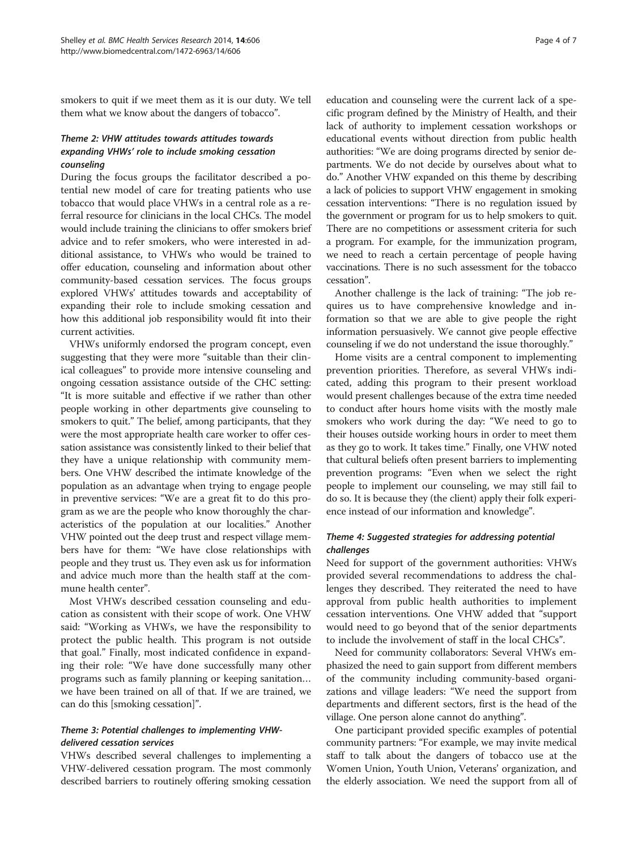smokers to quit if we meet them as it is our duty. We tell them what we know about the dangers of tobacco".

## Theme 2: VHW attitudes towards attitudes towards expanding VHWs' role to include smoking cessation counseling

During the focus groups the facilitator described a potential new model of care for treating patients who use tobacco that would place VHWs in a central role as a referral resource for clinicians in the local CHCs. The model would include training the clinicians to offer smokers brief advice and to refer smokers, who were interested in additional assistance, to VHWs who would be trained to offer education, counseling and information about other community-based cessation services. The focus groups explored VHWs' attitudes towards and acceptability of expanding their role to include smoking cessation and how this additional job responsibility would fit into their current activities.

VHWs uniformly endorsed the program concept, even suggesting that they were more "suitable than their clinical colleagues" to provide more intensive counseling and ongoing cessation assistance outside of the CHC setting: "It is more suitable and effective if we rather than other people working in other departments give counseling to smokers to quit." The belief, among participants, that they were the most appropriate health care worker to offer cessation assistance was consistently linked to their belief that they have a unique relationship with community members. One VHW described the intimate knowledge of the population as an advantage when trying to engage people in preventive services: "We are a great fit to do this program as we are the people who know thoroughly the characteristics of the population at our localities." Another VHW pointed out the deep trust and respect village members have for them: "We have close relationships with people and they trust us. They even ask us for information and advice much more than the health staff at the commune health center".

Most VHWs described cessation counseling and education as consistent with their scope of work. One VHW said: "Working as VHWs, we have the responsibility to protect the public health. This program is not outside that goal." Finally, most indicated confidence in expanding their role: "We have done successfully many other programs such as family planning or keeping sanitation… we have been trained on all of that. If we are trained, we can do this [smoking cessation]".

#### Theme 3: Potential challenges to implementing VHWdelivered cessation services

VHWs described several challenges to implementing a VHW-delivered cessation program. The most commonly described barriers to routinely offering smoking cessation

education and counseling were the current lack of a specific program defined by the Ministry of Health, and their lack of authority to implement cessation workshops or educational events without direction from public health authorities: "We are doing programs directed by senior departments. We do not decide by ourselves about what to do." Another VHW expanded on this theme by describing a lack of policies to support VHW engagement in smoking cessation interventions: "There is no regulation issued by the government or program for us to help smokers to quit. There are no competitions or assessment criteria for such a program. For example, for the immunization program, we need to reach a certain percentage of people having vaccinations. There is no such assessment for the tobacco cessation".

Another challenge is the lack of training: "The job requires us to have comprehensive knowledge and information so that we are able to give people the right information persuasively. We cannot give people effective counseling if we do not understand the issue thoroughly."

Home visits are a central component to implementing prevention priorities. Therefore, as several VHWs indicated, adding this program to their present workload would present challenges because of the extra time needed to conduct after hours home visits with the mostly male smokers who work during the day: "We need to go to their houses outside working hours in order to meet them as they go to work. It takes time." Finally, one VHW noted that cultural beliefs often present barriers to implementing prevention programs: "Even when we select the right people to implement our counseling, we may still fail to do so. It is because they (the client) apply their folk experience instead of our information and knowledge".

## Theme 4: Suggested strategies for addressing potential challenges

Need for support of the government authorities: VHWs provided several recommendations to address the challenges they described. They reiterated the need to have approval from public health authorities to implement cessation interventions. One VHW added that "support would need to go beyond that of the senior departments to include the involvement of staff in the local CHCs".

Need for community collaborators: Several VHWs emphasized the need to gain support from different members of the community including community-based organizations and village leaders: "We need the support from departments and different sectors, first is the head of the village. One person alone cannot do anything".

One participant provided specific examples of potential community partners: "For example, we may invite medical staff to talk about the dangers of tobacco use at the Women Union, Youth Union, Veterans' organization, and the elderly association. We need the support from all of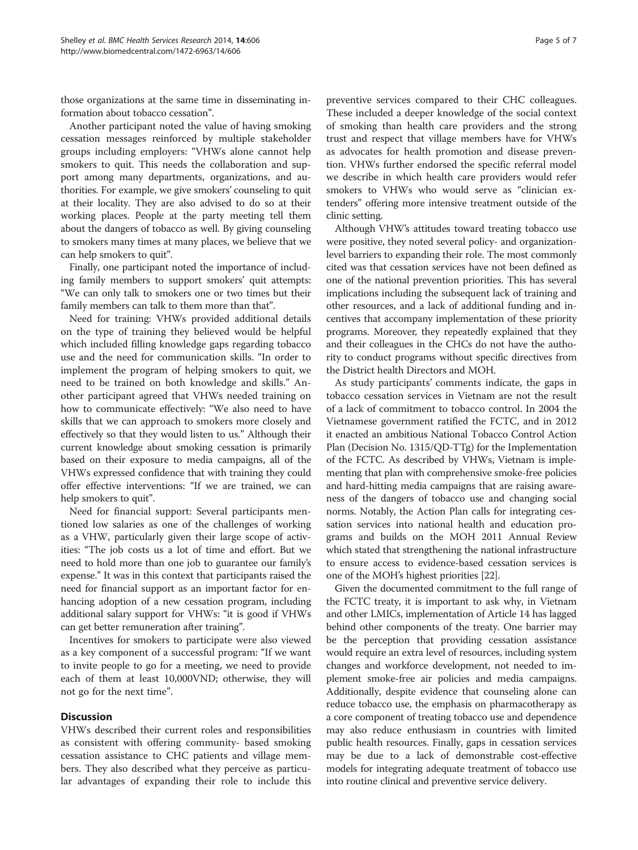those organizations at the same time in disseminating information about tobacco cessation".

Another participant noted the value of having smoking cessation messages reinforced by multiple stakeholder groups including employers: "VHWs alone cannot help smokers to quit. This needs the collaboration and support among many departments, organizations, and authorities. For example, we give smokers' counseling to quit at their locality. They are also advised to do so at their working places. People at the party meeting tell them about the dangers of tobacco as well. By giving counseling to smokers many times at many places, we believe that we can help smokers to quit".

Finally, one participant noted the importance of including family members to support smokers' quit attempts: "We can only talk to smokers one or two times but their family members can talk to them more than that".

Need for training: VHWs provided additional details on the type of training they believed would be helpful which included filling knowledge gaps regarding tobacco use and the need for communication skills. "In order to implement the program of helping smokers to quit, we need to be trained on both knowledge and skills." Another participant agreed that VHWs needed training on how to communicate effectively: "We also need to have skills that we can approach to smokers more closely and effectively so that they would listen to us." Although their current knowledge about smoking cessation is primarily based on their exposure to media campaigns, all of the VHWs expressed confidence that with training they could offer effective interventions: "If we are trained, we can help smokers to quit".

Need for financial support: Several participants mentioned low salaries as one of the challenges of working as a VHW, particularly given their large scope of activities: "The job costs us a lot of time and effort. But we need to hold more than one job to guarantee our family's expense." It was in this context that participants raised the need for financial support as an important factor for enhancing adoption of a new cessation program, including additional salary support for VHWs: "it is good if VHWs can get better remuneration after training".

Incentives for smokers to participate were also viewed as a key component of a successful program: "If we want to invite people to go for a meeting, we need to provide each of them at least 10,000VND; otherwise, they will not go for the next time".

#### **Discussion**

VHWs described their current roles and responsibilities as consistent with offering community- based smoking cessation assistance to CHC patients and village members. They also described what they perceive as particular advantages of expanding their role to include this preventive services compared to their CHC colleagues. These included a deeper knowledge of the social context of smoking than health care providers and the strong trust and respect that village members have for VHWs as advocates for health promotion and disease prevention. VHWs further endorsed the specific referral model we describe in which health care providers would refer smokers to VHWs who would serve as "clinician extenders" offering more intensive treatment outside of the clinic setting.

Although VHW's attitudes toward treating tobacco use were positive, they noted several policy- and organizationlevel barriers to expanding their role. The most commonly cited was that cessation services have not been defined as one of the national prevention priorities. This has several implications including the subsequent lack of training and other resources, and a lack of additional funding and incentives that accompany implementation of these priority programs. Moreover, they repeatedly explained that they and their colleagues in the CHCs do not have the authority to conduct programs without specific directives from the District health Directors and MOH.

As study participants' comments indicate, the gaps in tobacco cessation services in Vietnam are not the result of a lack of commitment to tobacco control. In 2004 the Vietnamese government ratified the FCTC, and in 2012 it enacted an ambitious National Tobacco Control Action Plan (Decision No. 1315/QD-TTg) for the Implementation of the FCTC. As described by VHWs, Vietnam is implementing that plan with comprehensive smoke-free policies and hard-hitting media campaigns that are raising awareness of the dangers of tobacco use and changing social norms. Notably, the Action Plan calls for integrating cessation services into national health and education programs and builds on the MOH 2011 Annual Review which stated that strengthening the national infrastructure to ensure access to evidence-based cessation services is one of the MOH's highest priorities [\[22\]](#page-6-0).

Given the documented commitment to the full range of the FCTC treaty, it is important to ask why, in Vietnam and other LMICs, implementation of Article 14 has lagged behind other components of the treaty. One barrier may be the perception that providing cessation assistance would require an extra level of resources, including system changes and workforce development, not needed to implement smoke-free air policies and media campaigns. Additionally, despite evidence that counseling alone can reduce tobacco use, the emphasis on pharmacotherapy as a core component of treating tobacco use and dependence may also reduce enthusiasm in countries with limited public health resources. Finally, gaps in cessation services may be due to a lack of demonstrable cost-effective models for integrating adequate treatment of tobacco use into routine clinical and preventive service delivery.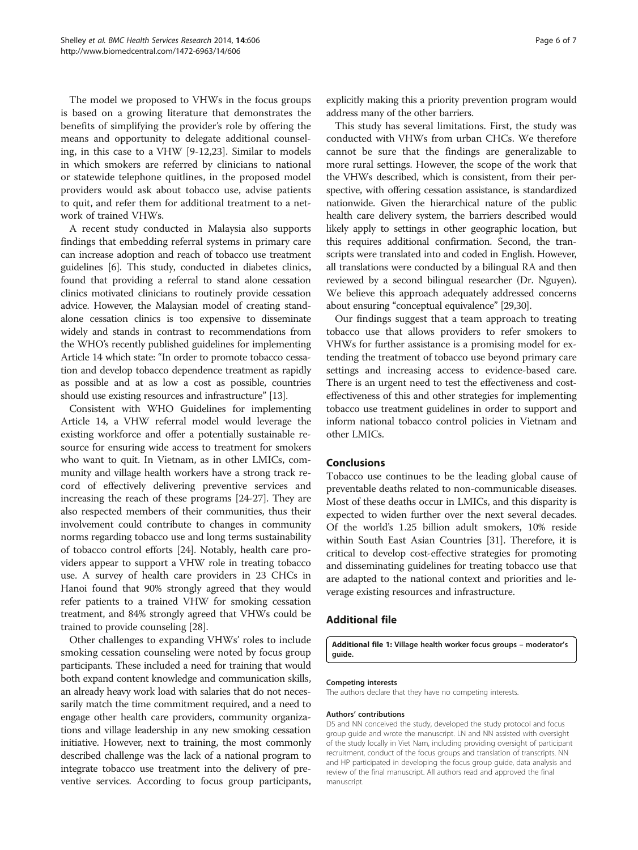<span id="page-5-0"></span>The model we proposed to VHWs in the focus groups is based on a growing literature that demonstrates the benefits of simplifying the provider's role by offering the means and opportunity to delegate additional counseling, in this case to a VHW [\[9](#page-6-0)-[12,23](#page-6-0)]. Similar to models in which smokers are referred by clinicians to national or statewide telephone quitlines, in the proposed model providers would ask about tobacco use, advise patients to quit, and refer them for additional treatment to a network of trained VHWs.

A recent study conducted in Malaysia also supports findings that embedding referral systems in primary care can increase adoption and reach of tobacco use treatment guidelines [[6\]](#page-6-0). This study, conducted in diabetes clinics, found that providing a referral to stand alone cessation clinics motivated clinicians to routinely provide cessation advice. However, the Malaysian model of creating standalone cessation clinics is too expensive to disseminate widely and stands in contrast to recommendations from the WHO's recently published guidelines for implementing Article 14 which state: "In order to promote tobacco cessation and develop tobacco dependence treatment as rapidly as possible and at as low a cost as possible, countries should use existing resources and infrastructure" [\[13\]](#page-6-0).

Consistent with WHO Guidelines for implementing Article 14, a VHW referral model would leverage the existing workforce and offer a potentially sustainable resource for ensuring wide access to treatment for smokers who want to quit. In Vietnam, as in other LMICs, community and village health workers have a strong track record of effectively delivering preventive services and increasing the reach of these programs [[24-27\]](#page-6-0). They are also respected members of their communities, thus their involvement could contribute to changes in community norms regarding tobacco use and long terms sustainability of tobacco control efforts [\[24\]](#page-6-0). Notably, health care providers appear to support a VHW role in treating tobacco use. A survey of health care providers in 23 CHCs in Hanoi found that 90% strongly agreed that they would refer patients to a trained VHW for smoking cessation treatment, and 84% strongly agreed that VHWs could be trained to provide counseling [[28](#page-6-0)].

Other challenges to expanding VHWs' roles to include smoking cessation counseling were noted by focus group participants. These included a need for training that would both expand content knowledge and communication skills, an already heavy work load with salaries that do not necessarily match the time commitment required, and a need to engage other health care providers, community organizations and village leadership in any new smoking cessation initiative. However, next to training, the most commonly described challenge was the lack of a national program to integrate tobacco use treatment into the delivery of preventive services. According to focus group participants,

This study has several limitations. First, the study was conducted with VHWs from urban CHCs. We therefore cannot be sure that the findings are generalizable to more rural settings. However, the scope of the work that the VHWs described, which is consistent, from their perspective, with offering cessation assistance, is standardized nationwide. Given the hierarchical nature of the public health care delivery system, the barriers described would likely apply to settings in other geographic location, but this requires additional confirmation. Second, the transcripts were translated into and coded in English. However, all translations were conducted by a bilingual RA and then reviewed by a second bilingual researcher (Dr. Nguyen). We believe this approach adequately addressed concerns about ensuring "conceptual equivalence" [\[29,30](#page-6-0)].

Our findings suggest that a team approach to treating tobacco use that allows providers to refer smokers to VHWs for further assistance is a promising model for extending the treatment of tobacco use beyond primary care settings and increasing access to evidence-based care. There is an urgent need to test the effectiveness and costeffectiveness of this and other strategies for implementing tobacco use treatment guidelines in order to support and inform national tobacco control policies in Vietnam and other LMICs.

## Conclusions

Tobacco use continues to be the leading global cause of preventable deaths related to non-communicable diseases. Most of these deaths occur in LMICs, and this disparity is expected to widen further over the next several decades. Of the world's 1.25 billion adult smokers, 10% reside within South East Asian Countries [\[31\]](#page-6-0). Therefore, it is critical to develop cost-effective strategies for promoting and disseminating guidelines for treating tobacco use that are adapted to the national context and priorities and leverage existing resources and infrastructure.

#### Additional file

[Additional file 1:](http://www.biomedcentral.com/content/supplementary/s12913-014-0606-1-s1.docx) Village health worker focus groups – moderator's guide.

#### Competing interests

The authors declare that they have no competing interests.

#### Authors' contributions

DS and NN conceived the study, developed the study protocol and focus group guide and wrote the manuscript. LN and NN assisted with oversight of the study locally in Viet Nam, including providing oversight of participant recruitment, conduct of the focus groups and translation of transcripts. NN and HP participated in developing the focus group guide, data analysis and review of the final manuscript. All authors read and approved the final manuscript.